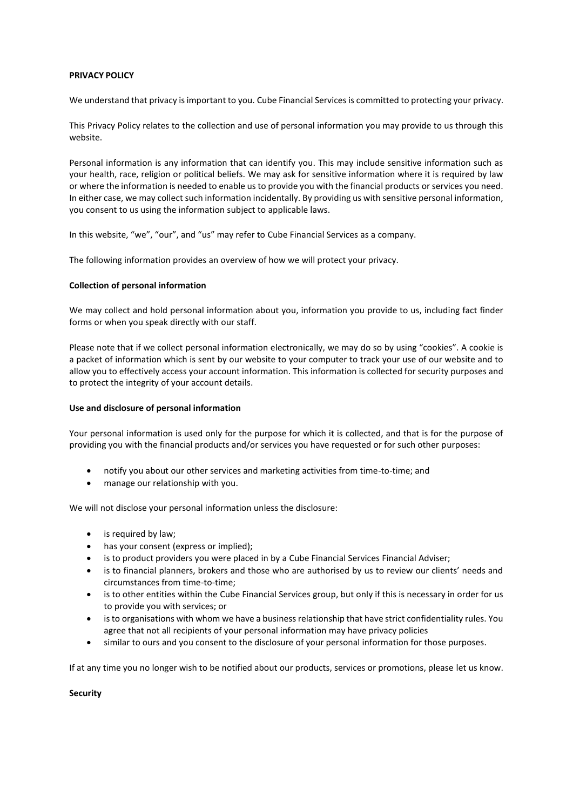# **PRIVACY POLICY**

We understand that privacy is important to you. Cube Financial Services is committed to protecting your privacy.

This Privacy Policy relates to the collection and use of personal information you may provide to us through this website.

Personal information is any information that can identify you. This may include sensitive information such as your health, race, religion or political beliefs. We may ask for sensitive information where it is required by law or where the information is needed to enable us to provide you with the financial products or services you need. In either case, we may collect such information incidentally. By providing us with sensitive personal information, you consent to us using the information subject to applicable laws.

In this website, "we", "our", and "us" may refer to Cube Financial Services as a company.

The following information provides an overview of how we will protect your privacy.

# **Collection of personal information**

We may collect and hold personal information about you, information you provide to us, including fact finder forms or when you speak directly with our staff.

Please note that if we collect personal information electronically, we may do so by using "cookies". A cookie is a packet of information which is sent by our website to your computer to track your use of our website and to allow you to effectively access your account information. This information is collected for security purposes and to protect the integrity of your account details.

### **Use and disclosure of personal information**

Your personal information is used only for the purpose for which it is collected, and that is for the purpose of providing you with the financial products and/or services you have requested or for such other purposes:

- notify you about our other services and marketing activities from time-to-time; and
- manage our relationship with you.

We will not disclose your personal information unless the disclosure:

- is required by law;
- has your consent (express or implied);
- is to product providers you were placed in by a Cube Financial Services Financial Adviser;
- is to financial planners, brokers and those who are authorised by us to review our clients' needs and circumstances from time-to-time;
- is to other entities within the Cube Financial Services group, but only if this is necessary in order for us to provide you with services; or
- is to organisations with whom we have a business relationship that have strict confidentiality rules. You agree that not all recipients of your personal information may have privacy policies
- similar to ours and you consent to the disclosure of your personal information for those purposes.

If at any time you no longer wish to be notified about our products, services or promotions, please let us know.

#### **Security**